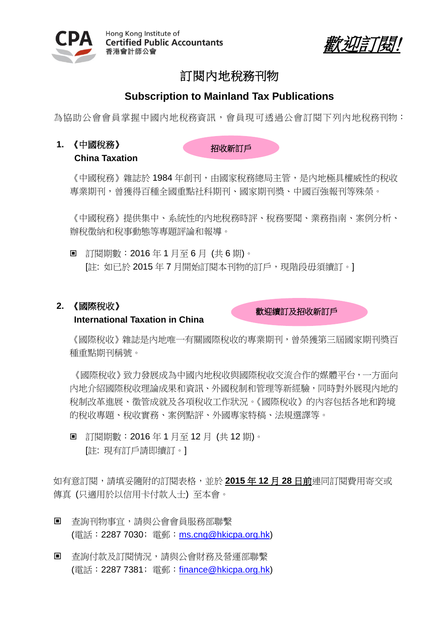



# 訂閱內地稅務刊物

# **Subscription to Mainland Tax Publications**

為協助公會會員掌握中國內地稅務資訊,會員現可透過公會訂閱下列內地稅務刊物:

**1.** 《中國稅務》

**China Taxation** 

招收新訂戶

《中國稅務》雜誌於 1984 年創刊,由國家稅務總局主管,是內地極具權威性的稅收 專業期刊,曾獲得百種全國重點社科期刊、國家期刊獎、中國百強報刊等殊榮。

《中國稅務》提供集中、系統性的內地稅務時評、稅務要聞、業務指南、案例分析、 辦稅徵納和稅事動態等專題評論和報導。

■ 訂閱期數: 2016年1月至6月 (共6期)。 [註: 如已於 2015年7月開始訂閱本刊物的訂戶,現階段毋須續訂。]

## **2.** 《國際稅收》

### **International Taxation in China**

歡迎續訂及招收新訂戶

《國際稅收》雜誌是內地唯一有關國際稅收的專業期刊,曾榮獲第三屆國家期刊獎百 種重點期刊稱號。

《國際稅收》致力發展成為中國內地稅收與國際稅收交流合作的媒體平台,一方面向 內地介紹國際稅收理論成果和資訊、外國稅制和管理等新經驗,同時對外展現內地的 稅制改革進展、徵管成就及各項稅收工作狀況。《國際稅收》的內容包括各地和跨境 的稅收專題、稅收實務、案例點評、外國專家特稿、法規選譯等。

■ 訂閱期數: 2016年1月至12月 (共12期)。 [註: 現有訂戶請即續訂。]

如有意訂閱,請填妥隨附的訂閱表格,並於 **2015** 年 **12** 月 **28** 日前連同訂閱費用寄交或 傳真 (只適用於以信用卡付款人士) 至本會。

- 查詢刊物事宜,請與公會會員服務部聯繫 (電話: 2287 7030; 雷郵: [ms.cng@hkicpa.org.hk\)](mailto:ms.cng@hkicpa.org.hk)
- 杳詢付款及訂閱情況,請與公會財務及營運部聯繫 (電話:2287 7381﹔電郵:[finance@hkicpa.org.hk\)](mailto:mcs.scm@hkicpa.org.hk)